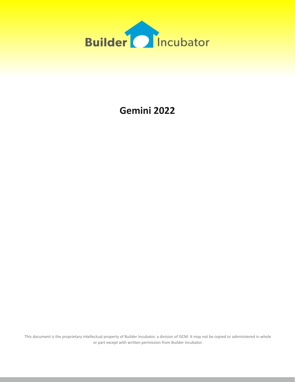

# **Gemini 2022**

This document is the proprietary intellectual property of Builder Incubator. a division of ISCM. It may not be copied or administered in whole or part except with written permission from Builder Incubator.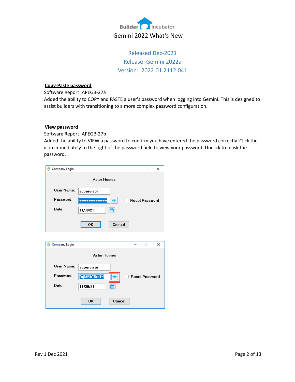

## Released Dec-2021 Release: Gemini 2022a Version: 2022.01.2112.041

#### **Copy-Paste password**

Software Report: APEGB-27a

Added the ability to COPY and PASTE a user's password when logging into Gemini. This is designed to assist builders with transitioning to a more complex password configuration.

## **View password**

Software Report: APEGB-27b

Added the ability to VIEW a password to confirm you have entered the password correctly. Click the icon immediately to the right of the password field to view your password. Unclick to mask the password.

| Company Login             |                          | $\times$              |
|---------------------------|--------------------------|-----------------------|
|                           | <b>Astor Homes</b>       |                       |
| User Name:                | supervisor               |                       |
| Password:                 |                          | <b>Reset Password</b> |
| Date:                     | ₩<br>11/30/21            |                       |
|                           | OK                       | Cancel                |
|                           |                          |                       |
| <b>Company Login</b><br>Θ |                          | X                     |
|                           | <b>Astor Homes</b>       |                       |
| User Name:                | supervisor               |                       |
| Password:                 | *ujMBh^5rd#4<br>$\bf{O}$ | <b>Reset Password</b> |
| Date:                     | 鱛<br>11/30/21            |                       |
|                           |                          |                       |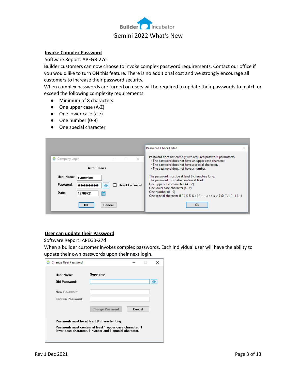

#### **Invoke Complex Password**

Software Report: APEGB-27c

Builder customers can now choose to invoke complex password requirements. Contact our office if you would like to turn ON this feature. There is no additional cost and we strongly encourage all customers to increase their password security.

When complex passwords are turned on users will be required to update their passwords to match or exceed the following complexity requirements.

- Minimum of 8 characters
- One upper case (A-Z)
- One lower case (a-z)
- One number (0-9)
- One special character

|                                                                                                      | <b>Password Check Failed</b>                                                                                                                                                                                                                                              |
|------------------------------------------------------------------------------------------------------|---------------------------------------------------------------------------------------------------------------------------------------------------------------------------------------------------------------------------------------------------------------------------|
| $\times$<br>$\Box$<br>Company Login<br><b>Astor Homes</b>                                            | Password does not comply with required password parameters.<br>. The password does not have an upper case character.<br>• The password does not have a special character.<br>• The password does not have a number.                                                       |
| User Name:<br>supervisor<br>Password:<br><b>Reset Password</b><br>,,,,,,,,<br>Date:<br>m<br>12/06/21 | The password must be at least 8 characters long.<br>The password must also contain at least:<br>One upper case character (A - Z)<br>One lower case character (a - z)<br>One number $(0 - 9)$<br>One special character (! " # \$ % & ( ) * + - ; < = > ? @ [ \ ] ^ _{ } ~) |
| <b>OK</b><br>Cancel                                                                                  | OK                                                                                                                                                                                                                                                                        |

## **User can update their Password**

Software Report: APEGB-27d

When a builder customer invokes complex passwords. Each individual user will have the ability to update their own passwords upon their next login.

| User Name:           | Supervisor             |        |
|----------------------|------------------------|--------|
|                      |                        |        |
| <b>Old Password:</b> |                        |        |
| New Password:        |                        |        |
| Confirm Password:    |                        |        |
|                      |                        | Cancel |
|                      | <b>Change Password</b> |        |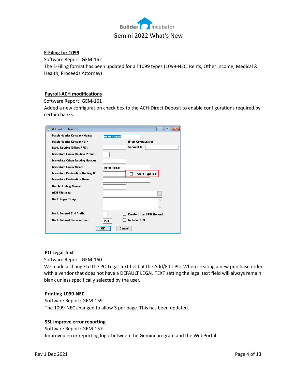

## **E-Filing for 1099**

Software Report: GEM-162

The E-Filing format has been updated for all 1099 types (1099-NEC, Rents, Other Income, Medical & Health, Proceeds Attorney)

## **Payroll-ACH modifications**

Software Report: GEM-161

Added a new configuration check box to the ACH-Direct Deposit to enable configurations required by certain banks.

| ACH will be Changed                | $\Box$<br>$\mathbf{z}$<br>--    |
|------------------------------------|---------------------------------|
| Batch Header Company Name:         | <b>Astor Homes</b>              |
| <b>Batch Header Company EIN:</b>   | (From Configuration)            |
| <b>Bank Routing (Offset PPD):</b>  | Account #:                      |
| Immediate Origin Routing Prefix:   |                                 |
| Immediate Origin Routing Number:   |                                 |
| Immediate Origin Name:             | <b>Astor Homes</b>              |
| Immediate Destination Routing #:   | Record Type 5-8                 |
| <b>Immediate Destination Name:</b> |                                 |
| <b>Batch Routing Number:</b>       |                                 |
| <b>ACH Filename:</b>               | $\ldots$                        |
| <b>Bank Login String:</b>          |                                 |
|                                    |                                 |
| <b>Bank Defined FIN Prefix:</b>    | <b>Create Offset PPD Record</b> |
| <b>Bank Defined Service Class:</b> | <b>Include CR/LF</b><br>220     |
|                                    | OK<br>Cancel                    |

#### **PO Legal Text**

Software Report: GEM-160

We made a change to the PO Legal Text field at the Add/Edit PO. When creating a new purchase order with a vendor that does not have a DEFAULT LEGAL TEXT setting the legal text field will always remain blank unless specifically selected by the user.

## **Printing 1099-NEC**

Software Report: GEM-159 The 1099-NEC changed to allow 3 per page. This has been updated.

## **SSL improve error reporting**

Software Report: GEM-157 Improved error reporting logic between the Gemini program and the WebPortal.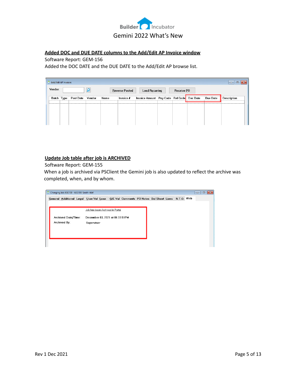

## **Added DOC and DUE DATE columns to the Add/Edit AP Invoice window**

## Software Report: GEM-156

Added the DOC DATE and the DUE DATE to the Add/Edit AP browse list.

|         | Add/Edit AP Invoices              |  |      |           |                       |                                           |  |                 |             | $\mathbf{x}$<br>$\Box$<br>$\Box$ |
|---------|-----------------------------------|--|------|-----------|-----------------------|-------------------------------------------|--|-----------------|-------------|----------------------------------|
| Vendor: |                                   |  | یر   |           | <b>Reverse Posted</b> | Load Recurring                            |  | Receive PO      |             |                                  |
|         | Batch Type<br>Vendor<br>Post Date |  | Name | Invoice # |                       | Invoice Amount Pay Code Ref Code Doc Date |  | <b>Due Date</b> | Description |                                  |
|         |                                   |  |      |           |                       |                                           |  |                 |             |                                  |
|         |                                   |  |      |           |                       |                                           |  |                 |             |                                  |
|         |                                   |  |      |           |                       |                                           |  |                 |             |                                  |

## **Update Job table after job is ARCHIVED**

Software Report: GEM-155

When a job is archived via PSClient the Gemini job is also updated to reflect the archive was completed, when, and by whom.

| Changing Job ASG100 - ASG100-Smith-Alaf                                                     |                                  |  |  |  |  | $\mathbf{x}$<br>$\Box$<br>$\overline{\phantom{a}}$ |
|---------------------------------------------------------------------------------------------|----------------------------------|--|--|--|--|----------------------------------------------------|
| General Additional Legal User Val Loan Q/E Val Comments PO Notes Bal Sheet Liens N.T.O. Web |                                  |  |  |  |  |                                                    |
|                                                                                             |                                  |  |  |  |  |                                                    |
|                                                                                             | Job has been Archived in Portal  |  |  |  |  |                                                    |
| Archived Date/Time:                                                                         | December 03, 2021 at 06:33:51 PM |  |  |  |  |                                                    |
| Archived By:                                                                                | Supervisor                       |  |  |  |  |                                                    |
|                                                                                             |                                  |  |  |  |  |                                                    |
|                                                                                             |                                  |  |  |  |  |                                                    |
|                                                                                             |                                  |  |  |  |  |                                                    |
|                                                                                             |                                  |  |  |  |  |                                                    |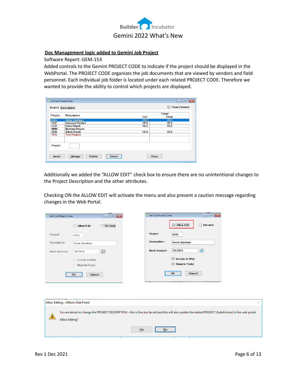

## **Doc Management logic added to Gemini Job Project**

Software Report: GEM-153

Added controls to the Gemini PROJECT CODE to indicate if the project should be displayed in the WebPortal. The PROJECT CODE organizes the job documents that are viewed by vendors and field personnel. Each individual job folder is located under each related PROJECT CODE. Therefore we wanted to provide the ability to control which projects are displayed.

|            | Project Description    |            |            |  |  |  |
|------------|------------------------|------------|------------|--|--|--|
| Project    | <b>Description</b>     | Portal     |            |  |  |  |
|            |                        | Incl       | Show       |  |  |  |
| <b>ASG</b> | <b>Astor Gardens</b>   | <b>YES</b> | <b>YES</b> |  |  |  |
| CCP        | <b>Concord Pointe1</b> | <b>YES</b> | <b>YES</b> |  |  |  |
| <b>ECR</b> | Echo Ranch             | <b>YES</b> | <b>YES</b> |  |  |  |
| <b>MHN</b> | <b>Morning Haven</b>   |            |            |  |  |  |
| SVB        | <b>Silver Brook</b>    | <b>YES</b> | <b>YES</b> |  |  |  |
| <b>TES</b> | <b>Test Project</b>    |            |            |  |  |  |
| Project:   |                        |            |            |  |  |  |

Additionally we added the "ALLOW EDIT" check box to ensure there are no unintentional changes to the Project Description and the other attributes.

Checking ON the ALLOW EDIT will activate the menu and also present a caution message regarding changes in the Web Portal.

| Job Cost Project Codes |                       | $\mathbf{x}$<br>$\Box$<br>$\overline{\phantom{0}}$ | Job Cost Project Codes |                      | $\begin{array}{c c c c c c} \hline \multicolumn{3}{c }{\mathbf{C}} & \multicolumn{3}{c }{\mathbf{X}} \end{array}$ |
|------------------------|-----------------------|----------------------------------------------------|------------------------|----------------------|-------------------------------------------------------------------------------------------------------------------|
|                        | $\Box$ Allow Edit     | <b>Deleted</b><br>□                                |                        | $\Box$ Allow Edit    | $\Box$<br><b>Deleted</b>                                                                                          |
| Project:               | ASG                   |                                                    | Project:               | ASG                  |                                                                                                                   |
| Description:           | <b>Astor Gardens</b>  |                                                    | Description:           | <b>Astor Gardens</b> |                                                                                                                   |
| <b>Bank Account:</b>   | 1012010               | ₽                                                  | <b>Bank Account:</b>   | 1012010              | $\mathbf{Q}$                                                                                                      |
|                        | $\vee$ Include In Web |                                                    |                        | ⊠<br>Include In Web  |                                                                                                                   |
|                        | $\vee$ Show In Portal |                                                    |                        | ⊠<br>Show In Portal  |                                                                                                                   |
|                        | OK<br>Cancel          |                                                    |                        | Cancel<br>OK         |                                                                                                                   |
|                        |                       |                                                    |                        |                      |                                                                                                                   |
|                        |                       |                                                    |                        |                      |                                                                                                                   |
|                        |                       |                                                    |                        |                      |                                                                                                                   |

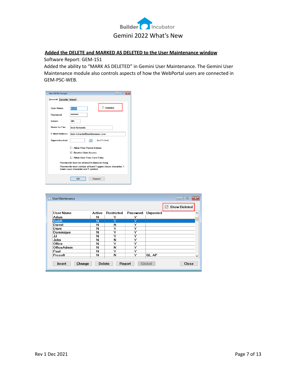

## **Added the DELETE and MARKED AS DELETED to the User Maintenance window**

Software Report: GEM-151

Added the ability to "MARK AS DELETED" in Gemini User Maintenance. The Gemini User Maintenance module also controls aspects of how the WebPortal users are connected in GEM-PSC-WEB.

| User Will Be Changed | -- 0                                                                                             |  |  |  |  |  |  |  |  |
|----------------------|--------------------------------------------------------------------------------------------------|--|--|--|--|--|--|--|--|
|                      | <b>General Security Inherit</b>                                                                  |  |  |  |  |  |  |  |  |
| User Name:           | <b>Deleted</b><br><b>BobR</b>                                                                    |  |  |  |  |  |  |  |  |
| Password:            | ********                                                                                         |  |  |  |  |  |  |  |  |
| Initials:            | <b>RR</b>                                                                                        |  |  |  |  |  |  |  |  |
| Name for Fax:        | <b>Bob Bichards</b>                                                                              |  |  |  |  |  |  |  |  |
| E-Mail Address:      | bob.richards@buildername.com                                                                     |  |  |  |  |  |  |  |  |
| Superintendent:      | (for PO Draft)<br>ρ                                                                              |  |  |  |  |  |  |  |  |
|                      | <b>Allow Prior Period Entries</b>                                                                |  |  |  |  |  |  |  |  |
|                      | <b>☑ Restrict User Access</b>                                                                    |  |  |  |  |  |  |  |  |
|                      | Allow User Time Card Entry                                                                       |  |  |  |  |  |  |  |  |
|                      | Passwords must be at least 8 character long.                                                     |  |  |  |  |  |  |  |  |
|                      | Passwords must contain at least 1 upper chase character, 1<br>lower case character and 1 symbol. |  |  |  |  |  |  |  |  |
|                      | OK<br>Cancel                                                                                     |  |  |  |  |  |  |  |  |

|                  |        |            |          |                 | <b>Show Deleted</b><br>☑ |
|------------------|--------|------------|----------|-----------------|--------------------------|
| <b>User Name</b> | Active | Restricted | Password | <b>Unposted</b> |                          |
| Adam             | N      | Y          | Y        |                 |                          |
| <b>BobR</b>      | N      | Ÿ          | Υ        |                 |                          |
| Darrel           | N      | N          | Y        |                 |                          |
| Dave             | N      | Υ          | Y        |                 |                          |
| Dominique        | N      | Υ          | Y        |                 |                          |
| JJ               | N      | Y          | Y        |                 |                          |
| John             | N      | N          | Y        |                 |                          |
| Office           | N      | Y          | Y        |                 |                          |
| OfficeAdmin      | N      | N          | Y        |                 |                          |
| Paul             | N      | v          | Y        |                 |                          |
| Prosoft          | N      | N          | Y        | GL. AP          |                          |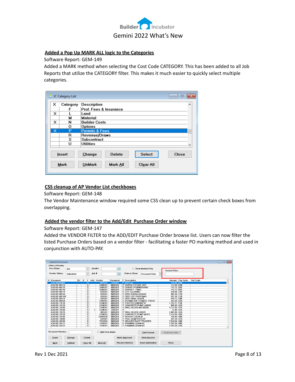

## **Added a Pop Up MARK ALL logic to the Categories**

Software Report: GEM-149

Added a MARK method when selecting the Cost Code CATEGORY. This has been added to all Job Reports that utilize the CATEGORY filter. This makes it much easier to quickly select multiple categories.

| u | JC Category List | $\vert$ o $\vert$                                                                                  | x |
|---|------------------|----------------------------------------------------------------------------------------------------|---|
| x | Category         | Description                                                                                        |   |
|   | F                | Prof. Fees & Insurance                                                                             |   |
| × |                  | Land                                                                                               |   |
|   | м                | Material                                                                                           |   |
| x | N                | <b>Builder Costs</b>                                                                               |   |
|   | Ω                | Options                                                                                            |   |
| x | P                | <b>Permits &amp; Fees</b>                                                                          |   |
|   | R                | Revenue/Draws                                                                                      |   |
|   | s                | Subcontract                                                                                        |   |
|   | U                | Utilities                                                                                          |   |
|   | Insert<br>Mark   | <b>Select</b><br><b>Delete</b><br>Close<br>Change<br><b>Mark All</b><br><b>UnMark</b><br>Clear All |   |

## **CSS cleanup of AP Vendor List checkboxes**

Software Report: GEM-148

The Vendor Maintenance window required some CSS clean up to prevent certain check boxes from overlapping.

## **Added the vendor filter to the Add/Edit Purchase Order window**

## Software Report: GEM-147

Added the VENDOR FILTER to the ADD/EDIT Purchase Order browse list. Users can now filter the listed Purchase Orders based on a vendor filter - facilitating a faster PO marking method and used in conjunction with AUTO-PAY.

| Add/Edit PO Documents        |               |      |                                                    |              |                         |                         |   |                       |                           |                            |                 |                 | $\begin{array}{c c c c c c} \hline \multicolumn{3}{c }{\mathbf{C}} & \multicolumn{3}{c }{\mathbf{C}} & \multicolumn{3}{c }{\mathbf{X}} \\\hline \multicolumn{3}{c }{\mathbf{C}} & \multicolumn{3}{c }{\mathbf{C}} & \multicolumn{3}{c }{\mathbf{S}} \end{array}$ |  |
|------------------------------|---------------|------|----------------------------------------------------|--------------|-------------------------|-------------------------|---|-----------------------|---------------------------|----------------------------|-----------------|-----------------|------------------------------------------------------------------------------------------------------------------------------------------------------------------------------------------------------------------------------------------------------------------|--|
| <b>Eilters / Display</b>     |               |      |                                                    |              |                         |                         |   |                       |                           |                            |                 |                 |                                                                                                                                                                                                                                                                  |  |
| Doc Status:                  | ALL.          |      | $\checkmark$                                       |              | Vendor:                 | $\overline{\mathbf{Q}}$ |   |                       | Show Marked Only          |                            |                 |                 |                                                                                                                                                                                                                                                                  |  |
|                              |               |      |                                                    |              |                         |                         |   |                       |                           | <b>Vendor Filter:</b>      |                 |                 |                                                                                                                                                                                                                                                                  |  |
| <b>Vendor Status:</b>        | Submitted     |      | $\checkmark$                                       | $Job \neq$   |                         | ۄ                       |   | Date to Show:         | <b>Document Date</b>      |                            |                 |                 |                                                                                                                                                                                                                                                                  |  |
|                              |               |      |                                                    |              |                         |                         |   |                       |                           |                            |                 |                 |                                                                                                                                                                                                                                                                  |  |
|                              |               |      |                                                    |              |                         |                         |   |                       |                           |                            |                 |                 |                                                                                                                                                                                                                                                                  |  |
| X Document                   |               | BU D | v.                                                 |              | Add Vendor              | Document                |   | P Description         |                           |                            | Amount Pay Code | <b>Ref Code</b> |                                                                                                                                                                                                                                                                  |  |
| <b>ASG100-06090</b>          |               |      | $\overline{s}$                                     |              | APPL01                  | 11/22/21                |   | P tEST po             |                           | 150.00 B30                 |                 |                 |                                                                                                                                                                                                                                                                  |  |
| ASG101-06110                 |               |      | s                                                  |              | SAND01                  | 08/03/20                |   | P SURVEY-STAKE OUT    |                           | 115.00 B40                 |                 |                 |                                                                                                                                                                                                                                                                  |  |
| ASG101-06120                 |               |      | s.                                                 |              | SAND <sub>01</sub>      | 08/03/20                |   | P SURVEY-FORMBOARD    |                           | 143.75 B45                 |                 |                 |                                                                                                                                                                                                                                                                  |  |
| ASG101-06140                 |               |      | s                                                  |              | SAND01                  | 08/03/20                |   | P SURVEY - FINAL      |                           | 143.75 B55                 |                 |                 |                                                                                                                                                                                                                                                                  |  |
| ASG101-08110                 |               |      | $\overline{\mathbf{s}}$                            |              | <b>SIDS01</b>           | 08/03/20                |   | P LOT CLEARING        |                           | 230.00 C45                 |                 |                 |                                                                                                                                                                                                                                                                  |  |
| ASG101-08150                 |               |      | $\overline{\mathbf{s}}$                            |              | SIDS01                  | 08/03/20                |   | P SITE-ROUGH GRADE    |                           | 402.50 C70                 |                 |                 |                                                                                                                                                                                                                                                                  |  |
| ASG101-081501                |               |      | $\overline{\mathbf{s}}$                            |              | <b>SIDS01</b>           | 08/03/20                |   | P SITE-CUT DRIVEWAY   |                           | 287.50 C70                 |                 |                 |                                                                                                                                                                                                                                                                  |  |
| ASG101-08170                 |               |      | s                                                  |              | SIDS01                  | 08/03/20                |   | P SITE-FINAL GRADE    |                           | 258.75 C80                 |                 |                 |                                                                                                                                                                                                                                                                  |  |
| ASG101-08230                 |               |      | s                                                  |              | TORR01                  | 08/03/20                |   |                       | P PERIMETER TERMITE TREAT | 353.69 D20                 |                 |                 |                                                                                                                                                                                                                                                                  |  |
| ASG101-14130                 |               |      | $\overline{\mathbf{s}}$                            |              | CONC01                  | 08/03/20                |   | P FOOTER CONCRETE     |                           | 1.192.21 F50               |                 |                 |                                                                                                                                                                                                                                                                  |  |
| ASG101-16130                 |               |      | s                                                  |              | CONC01                  | 08/03/20                |   |                       | P CONCRETE PUMP LABOR     | 805.00 G30                 |                 |                 |                                                                                                                                                                                                                                                                  |  |
| ASG101-18100                 |               |      | s                                                  |              | CONC01                  | 08/03/20                |   |                       | P WALL BLOCK MATERIAL     | 4.137.96 G35               |                 |                 |                                                                                                                                                                                                                                                                  |  |
| ASG101-18100                 |               |      | s                                                  | $\mathbf{1}$ | CONC01                  | 12/01/21                | P |                       |                           | 12.00 G35                  |                 |                 |                                                                                                                                                                                                                                                                  |  |
| ASG101-18120                 |               |      | $\overline{\mathbf{s}}$                            |              | <b>BUIL01</b>           | 08/03/20                |   | P WALL BLOCK LABOR    |                           | 3.984.96 G45               |                 |                 |                                                                                                                                                                                                                                                                  |  |
| ASG101-18130                 |               |      | s                                                  |              | CONC01                  | 08/03/20                |   |                       | P CONCRETE PUMP MAT'L     | 1,124.99 G50               |                 |                 |                                                                                                                                                                                                                                                                  |  |
| ASG101-18180                 |               |      | s                                                  |              | <b>DANDEB</b>           | 08/03/20                |   | P ROUGH CLEAN #1      |                           | 750.00 G68                 |                 |                 |                                                                                                                                                                                                                                                                  |  |
| ASG101-18200<br>ASG101-20100 |               |      | $\overline{\mathbf{s}}$<br>$\overline{\mathbf{s}}$ |              | DAVI01<br><b>TRUS02</b> | 08/03/20                |   | P PULL DUMPSTER #1    | P DELIVER ROOF TRUSSES    | 287.50 G70<br>7,539.00 G80 |                 |                 |                                                                                                                                                                                                                                                                  |  |
|                              |               |      | $\overline{\mathbf{s}}$                            |              |                         | 08/03/20                |   | P FRAMING DRAW #2     |                           | 3.703.50 H05               |                 |                 |                                                                                                                                                                                                                                                                  |  |
| ASG101-20112<br>ASG101-20125 |               |      | s                                                  |              | THRE01<br>THRE01        | 08/03/20<br>08/03/20    |   | P FRAMING DRAW #3     |                           | 3.703.50 H20               |                 |                 |                                                                                                                                                                                                                                                                  |  |
|                              |               |      |                                                    |              |                         |                         |   |                       |                           |                            |                 |                 |                                                                                                                                                                                                                                                                  |  |
|                              |               |      |                                                    |              |                         |                         |   |                       |                           |                            |                 |                 |                                                                                                                                                                                                                                                                  |  |
| Document Number:             |               |      |                                                    |              | □ Dbl Click Marks       |                         |   |                       | <b>Print Current</b>      | <b>Replicate Adm</b>       |                 |                 |                                                                                                                                                                                                                                                                  |  |
| Insert                       | Change        |      | Delete                                             |              |                         |                         |   | <b>Mark Approved</b>  | <b>View Receive</b>       |                            |                 |                 |                                                                                                                                                                                                                                                                  |  |
| Mark                         | <b>UnMark</b> |      | <b>Clear All</b>                                   |              | Mark All                |                         |   | <b>Receive Marked</b> | <b>Insert Addendum</b>    | Close                      |                 |                 |                                                                                                                                                                                                                                                                  |  |
|                              |               |      |                                                    |              |                         |                         |   |                       |                           |                            |                 |                 |                                                                                                                                                                                                                                                                  |  |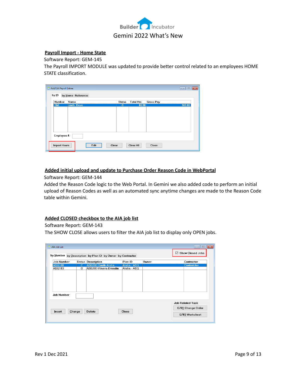

## **Payroll Import - Home State**

Software Report: GEM-145

The Payroll IMPORT MODULE was updated to provide better control related to an employees HOME STATE classification.

| smith, Dave |             |       |        |
|-------------|-------------|-------|--------|
|             | $\mathbf C$ | 80.00 | 960.00 |
|             |             |       |        |
|             |             |       |        |
|             |             |       |        |
|             |             |       |        |
|             |             |       |        |
|             |             |       |        |
|             |             |       |        |
|             |             |       |        |
|             |             |       |        |
|             |             |       |        |

## **Added initial upload and update to Purchase Order Reason Code in WebPortal**

Software Report: GEM-144

Added the Reason Code logic to the Web Portal. In Gemini we also added code to perform an initial upload of Reason Codes as well as an automated sync anytime changes are made to the Reason Code table within Gemini.

## **Added CLOSED checkbox to the AIA job list**

#### Software Report: GEM-143

The SHOW CLOSE allows users to filter the AIA job list to display only OPEN jobs.

| AIA Job List       |              |                                                            |              |       | $\mathbf{x}$<br>$\Box$<br>$\Box$ |
|--------------------|--------------|------------------------------------------------------------|--------------|-------|----------------------------------|
|                    |              |                                                            |              |       | <b>Show Closed Jobs</b><br>☑     |
|                    |              | by Number by Description by Plan ID by Owner by Contractor |              |       |                                  |
| <b>Job Number</b>  |              | <b>Status Description</b>                                  | Plan ID      | Owner | Contractor                       |
| <b>ASG100</b>      | $\mathbb{C}$ | ASG100-Smith-Alafia                                        | Alafia - ASG |       | <b>Contratctor</b>               |
| <b>ASG103</b>      | $\Omega$     | ASG103-Rivera-Dresdin                                      | Alafia - ASG |       |                                  |
|                    |              |                                                            |              |       |                                  |
|                    |              |                                                            |              |       |                                  |
|                    |              |                                                            |              |       |                                  |
|                    |              |                                                            |              |       |                                  |
|                    |              |                                                            |              |       |                                  |
| <b>Job Number:</b> |              |                                                            |              |       |                                  |
|                    |              |                                                            |              |       | <b>Job Related Task</b>          |
| Insert             | Change       | <b>Delete</b>                                              | Close        |       | G701 Change Order                |
|                    |              |                                                            |              |       | G703 Worksheet                   |
|                    |              |                                                            |              |       |                                  |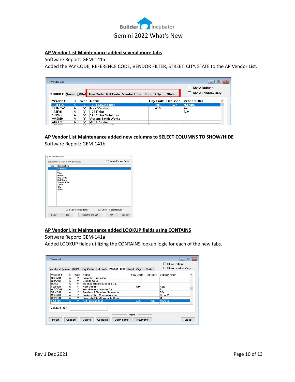

## **AP Vendor List Maintenance added several more tabs**

Software Report: GEM-141a

Added the PAY CODE, REFERENCE CODE, VENDOR FILTER, STREET, CITY, STATE to the AP Vendor List.

| Vendor List   |   |       |                                             |          |                 | $\Box$                   | $-25$<br>$\Box$     |
|---------------|---|-------|---------------------------------------------|----------|-----------------|--------------------------|---------------------|
|               |   |       |                                             |          |                 | <b>Show Deleted</b>      |                     |
| Vendor # Name |   | D/B/A | Pay Code Ref Code Vendor Filter Street City |          | State           | <b>Show Lenders Only</b> |                     |
| Vendor #      | s | Web   | Name                                        | Pay Code | <b>Ref Code</b> | <b>Vendor Filter</b>     | $\hat{\phantom{a}}$ |
| 123FRA        | А |       | 123 Framing test                            | A05      | <b>WK</b>       | <b>NoAuto</b>            |                     |
| 123NEW        | А | Y     | New Vendor                                  | A15      |                 | Auto                     |                     |
| 123P01        | А | v     | 123 Paint                                   |          |                 | S.M                      |                     |
| 123SOL        | А | ◡     | <b>123 Solar Solutions</b>                  |          |                 |                          |                     |
| <b>AASMH</b>  | А | ◡     | Aarons Smith Works                          |          |                 |                          |                     |
| ABCP01        | А | v     | ABC Painting                                |          |                 |                          |                     |

## **AP Vendor List Maintenance added new columns to SELECT COLUMNS TO SHOW/HIDE** Software Report: GEM-141b



## **AP Vendor List Maintenance added LOOKUP fields using CONTAINS**

#### Software Report: GEM-141a

Added LOOKUP fields utilizing the CONTAINS lookup logic for each of the new tabs.

|                       |   |     |                                                                 |             |              | <b>Show Deleted</b>                         |
|-----------------------|---|-----|-----------------------------------------------------------------|-------------|--------------|---------------------------------------------|
|                       |   |     | Vendor # Name D/B/A Pay Code Ref Code Vendor Filter Street City |             | <b>State</b> | <b>Show Lenders Only</b>                    |
| Vendor #              | s | Web | Name                                                            |             |              | Pay Code Ref Code Vendor Filter<br>$\wedge$ |
| CORV01                | А | Y   | Corvette Corian Co.                                             |             |              |                                             |
| GRAN01                | А | Y   | <b>Granite Guys</b>                                             |             |              |                                             |
| BUIL01                | A | Y   | <b>Building Blocks Masons Co.</b>                               |             |              |                                             |
| 123NEW                | А | Y   | New Vendor                                                      | A15         |              | Auto                                        |
| WOOD01                | A | Y   | Woodcutters Lumber Co.                                          |             |              | R                                           |
| SAND01                | А | Y   | <b>Sanders &amp; Sanders Surveyors</b>                          |             |              | B.V                                         |
| CORK01                | А | Y   | Corky's Slab Contractors Inc.                                   |             |              | Group2                                      |
| <b>CONS01</b>         | A | Y   | <b>Concrete Steel Products Corp.</b>                            |             |              | м                                           |
| 123FRA                | A | Y   | 123 Framing test                                                | A05         | <b>WK</b>    | <b>NoAuto</b>                               |
| <b>Vendor Filter:</b> |   |     |                                                                 | <b>View</b> |              |                                             |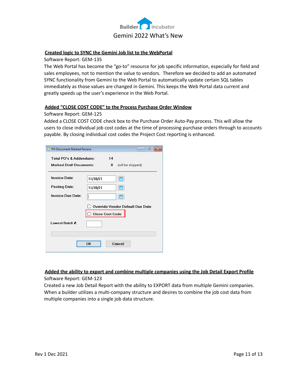

## **Created logic to SYNC the Gemini Job list to the WebPortal**

Software Report: GEM-135

The Web Portal has become the "go-to" resource for job specific information, especially for field and sales employees, not to mention the value to vendors. Therefore we decided to add an automated SYNC functionality from Gemini to the Web Portal to automatically update certain SQL tables immediately as those values are changed in Gemini. This keeps the Web Portal data current and greatly speeds up the user's experience in the Web Portal.

## **Added "CLOSE COST CODE" to the Process Purchase Order Window**

## Software Report: GEM-125

Added a CLOSE COST CODE check box to the Purchase Order Auto-Pay process. This will allow the users to close individual job cost codes at the time of processing purchase orders through to accounts payable. By closing individual cost codes the Project Cost reporting is enhanced.

| PO Document Marked Receive     |                        | 回<br>$\Box$                      |
|--------------------------------|------------------------|----------------------------------|
| Total PO's & Addendums:        | 14                     |                                  |
| <b>Marked Draft Documents:</b> | 0                      | (will be skipped)                |
| <b>Invoice Date:</b>           | 11/30/21               | ▦                                |
| <b>Posting Date:</b>           | 11/30/21               | ▦                                |
| <b>Invoice Due Date:</b>       |                        | m                                |
|                                | <b>Close Cost Code</b> | Override Vendor Default Due Date |
| Lowest Batch #:                |                        |                                  |
|                                | OK                     | Cancel                           |

## **Added the ability to export and combine multiple companies using the Job Detail Export Profile**

Software Report: GEM-123

Created a new Job Detail Report with the ability to EXPORT data from multiple Gemini companies. When a builder utilizes a multi-company structure and desires to combine the job cost data from multiple companies into a single job data structure.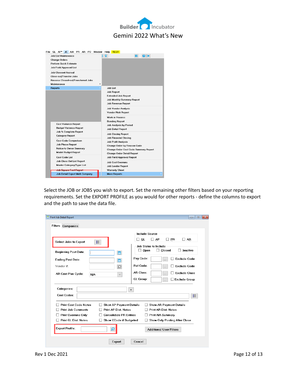



Select the JOB or JOBS you wish to export. Set the remaining other filters based on your reporting requirements. Set the EXPORT PROFILE as you would for other reports - define the columns to export and the path to save the data file.

| <b>Print Job Detail Report</b>                                 | $\overline{\mathbf{x}}$<br>$\Box$<br>$\Box$                                               |
|----------------------------------------------------------------|-------------------------------------------------------------------------------------------|
| <b>Filters Companies</b>                                       |                                                                                           |
|                                                                | <b>Include Source</b>                                                                     |
| <b>Select Jobs to Export</b><br>扫                              | $\Box$ PR<br>$\Box$ AR<br>GL<br>$\Box$ AP<br>$\mathsf{L}$<br><b>Job Status to Include</b> |
| <b>Beginning Post Date:</b><br>₩                               | Closed<br>Inactive<br>Open<br>□                                                           |
| <b>Ending Post Date:</b><br>鱛                                  | Pay Code:<br><b>Exclude Code</b><br>$\ddotsc$                                             |
| Vendor #1<br>Ğ.                                                | Ref Code:<br><b>Exclude Code</b><br>$\ddotsc$                                             |
| AR Cost Plus Cycle:<br>N/A<br>$\checkmark$                     | <b>AR Class:</b><br><b>Exclude Class</b><br>$\cdots$                                      |
|                                                                | GL Group:<br><b>Exclude Group</b><br>$\ddotsc$                                            |
| Categories:                                                    | ٠                                                                                         |
| <b>Cost Codes:</b>                                             | 扫                                                                                         |
| <b>Print Cost Code Notes</b><br><b>Show AP Payment Details</b> | <b>Show AR Payment Details</b>                                                            |
| <b>Print AP Dist. Notes</b><br><b>Print Job Comments</b>       | <b>Print AR Dist. Notes</b>                                                               |
| <b>Print Overruns Only</b><br><b>Consolidate PR Entries</b>    | <b>Print AIA Summary</b>                                                                  |
| <b>Print GL Dist. Notes</b><br><b>Show CCode if Budgeted</b>   | <b>Show Only Posting After Close</b>                                                      |
| <b>Export Profile:</b><br>۾                                    | <b>Additional User Filters</b>                                                            |
| Export                                                         | Cancel                                                                                    |